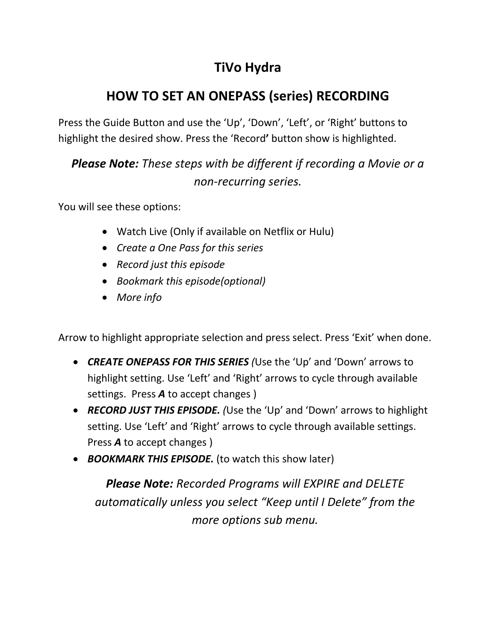# **TiVo Hydra**

# **HOW TO SET AN ONEPASS (series) RECORDING**

Press the Guide Button and use the 'Up', 'Down', 'Left', or 'Right' buttons to highlight the desired show. Press the 'Record**'** button show is highlighted.

### *Please Note: These steps with be different if recording a Movie or a non-recurring series.*

You will see these options:

- Watch Live (Only if available on Netflix or Hulu)
- *Create a One Pass for this series*
- *Record just this episode*
- *Bookmark this episode(optional)*
- *More info*

Arrow to highlight appropriate selection and press select. Press 'Exit' when done.

- *CREATE ONEPASS FOR THIS SERIES (*Use the 'Up' and 'Down' arrows to highlight setting. Use 'Left' and 'Right' arrows to cycle through available settings. Press *A* to accept changes )
- *RECORD JUST THIS EPISODE. (*Use the 'Up' and 'Down' arrows to highlight setting. Use 'Left' and 'Right' arrows to cycle through available settings. Press *A* to accept changes )
- *BOOKMARK THIS EPISODE.* (to watch this show later)

*Please Note: Recorded Programs will EXPIRE and DELETE automatically unless you select "Keep until I Delete" from the more options sub menu.*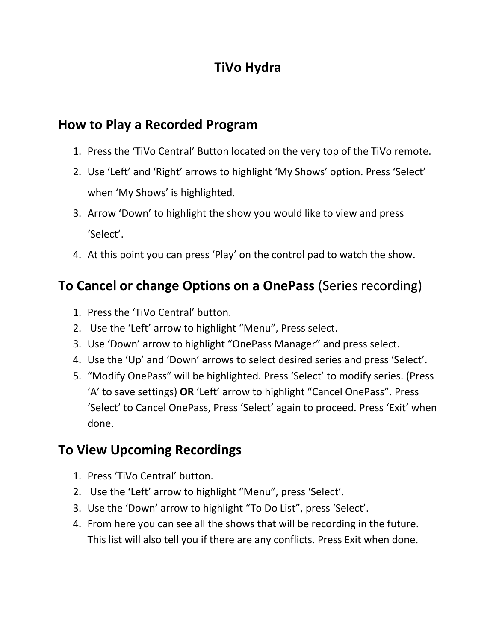## **TiVo Hydra**

#### **How to Play a Recorded Program**

- 1. Press the 'TiVo Central' Button located on the very top of the TiVo remote.
- 2. Use 'Left' and 'Right' arrows to highlight 'My Shows' option. Press 'Select' when 'My Shows' is highlighted.
- 3. Arrow 'Down' to highlight the show you would like to view and press 'Select'.
- 4. At this point you can press 'Play' on the control pad to watch the show.

### **To Cancel or change Options on a OnePass** (Series recording)

- 1. Press the 'TiVo Central' button.
- 2. Use the 'Left' arrow to highlight "Menu", Press select.
- 3. Use 'Down' arrow to highlight "OnePass Manager" and press select.
- 4. Use the 'Up' and 'Down' arrows to select desired series and press 'Select'.
- 5. "Modify OnePass" will be highlighted. Press 'Select' to modify series. (Press 'A' to save settings) **OR** 'Left' arrow to highlight "Cancel OnePass". Press 'Select' to Cancel OnePass, Press 'Select' again to proceed. Press 'Exit' when done.

### **To View Upcoming Recordings**

- 1. Press 'TiVo Central' button.
- 2. Use the 'Left' arrow to highlight "Menu", press 'Select'.
- 3. Use the 'Down' arrow to highlight "To Do List", press 'Select'.
- 4. From here you can see all the shows that will be recording in the future. This list will also tell you if there are any conflicts. Press Exit when done.